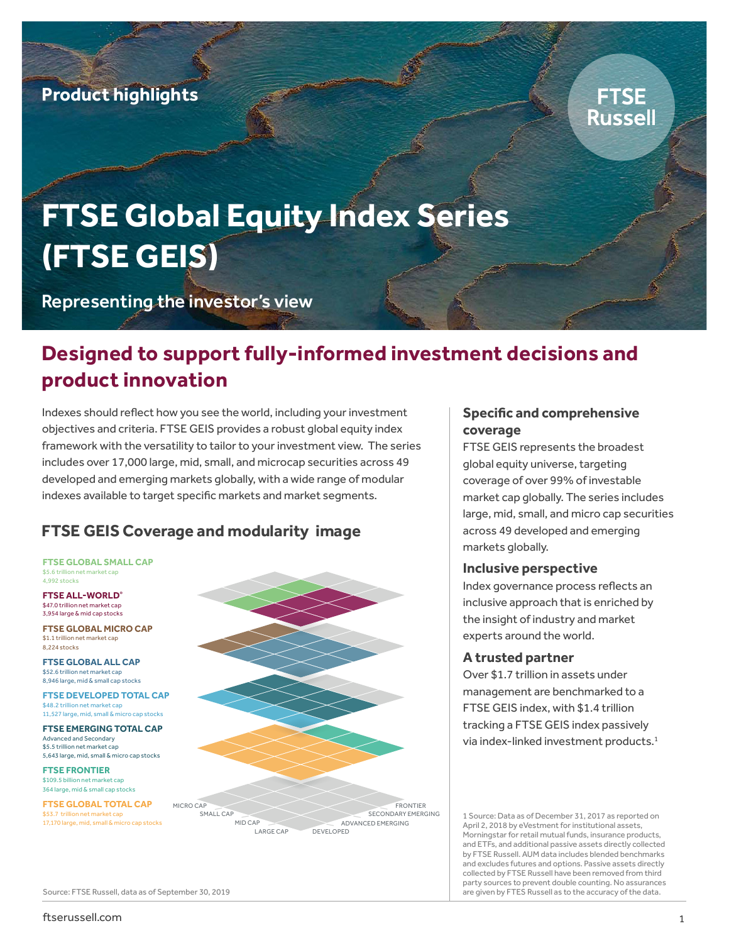**Product highlights**

## **FTSE Russell**

# **FTSE Global Equity Index Series (FTSE GEIS)**

Representing the investor's view

# **Designed to support fully-informed investment decisions and product innovation**

Indexes should reflect how you see the world, including your investment objectives and criteria. FTSE GEIS provides a robust global equity index framework with the versatility to tailor to your investment view. The series includes over 17,000 large, mid, small, and microcap securities across 49 developed and emerging markets globally, with a wide range of modular indexes available to target specific markets and market segments.

## **FTSE GEIS Coverage and modularity image**

**FTSE GLOBAL SMALL CAP** \$5.6 trillion net market cap 4,992 stocks

**FTSE ALL-WORLD®** \$47.0 trillion net market cap 3,954 large & mid cap stocks

**FTSE GLOBAL MICRO CAP** \$1.1 trillion net market cap 8,224 stocks

**FTSE GLOBAL ALL CAP** \$52.6 trillion net market cap 8,946 large, mid & small cap stocks

**FTSE DEVELOPED TOTAL CAP** \$48.2 trillion net market cap 11,527 large, mid, small & micro cap stocks

**FTSE EMERGING TOTAL CAP** Advanced and Secondary \$5.5 trillion net market cap

5,643 large, mid, small & micro cap stocks **FTSE FRONTIER** \$109.5 billion net market cap

364 large, mid & small cap stocks **FTSE GLOBAL TOTAL CAP**

\$53.7 trillion net market cap 17,170 large, mid, small & micro cap stocks



## **Specific and comprehensive coverage**

FTSE GEIS represents the broadest global equity universe, targeting coverage of over 99% of investable market cap globally. The series includes large, mid, small, and micro cap securities across 49 developed and emerging markets globally.

### **Inclusive perspective**

Index governance process reflects an inclusive approach that is enriched by the insight of industry and market experts around the world.

## **A trusted partner**

Over \$1.7 trillion in assets under management are benchmarked to a FTSE GEIS index, with \$1.4 trillion tracking a FTSE GEIS index passively via index-linked investment products.<sup>1</sup>

1 Source: Data as of December 31, 2017 as reported on April 2, 2018 by eVestment for institutional assets, Morningstar for retail mutual funds, insurance products, and ETFs, and additional passive assets directly collected by FTSE Russell. AUM data includes blended benchmarks and excludes futures and options. Passive assets directly collected by FTSE Russell have been removed from third party sources to prevent double counting. No assurances are given by FTES Russell as to the accuracy of the data.

Source: FTSE Russell, data as of September 30, 2019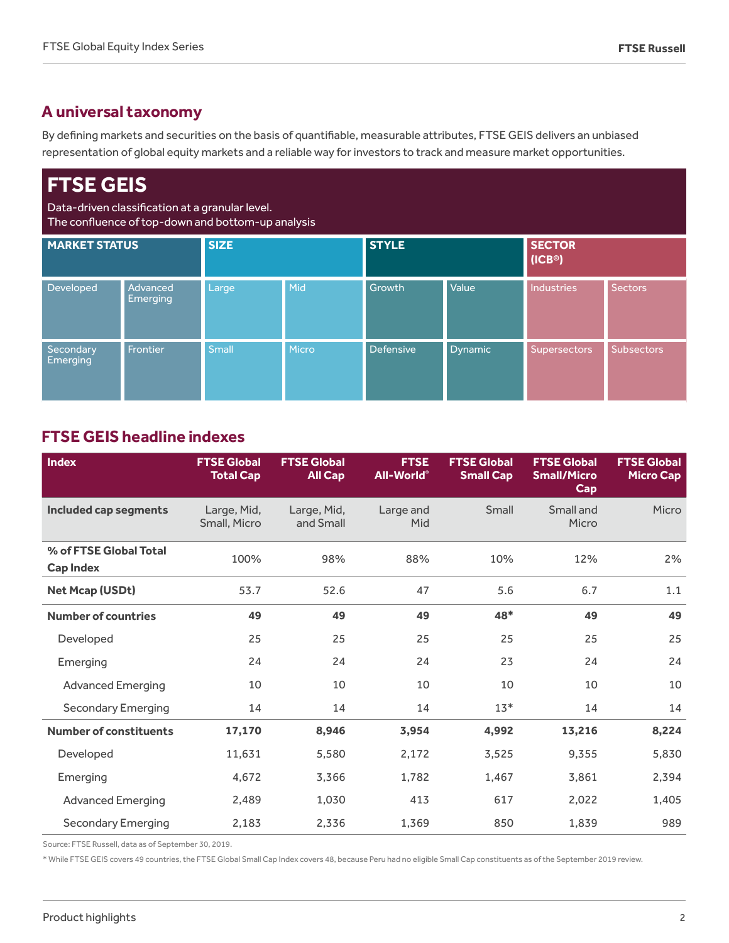## **A universal taxonomy**

By defining markets and securities on the basis of quantifiable, measurable attributes, FTSE GEIS delivers an unbiased representation of global equity markets and a reliable way for investors to track and measure market opportunities.

# **FTSE GEIS**

Data-driven classification at a granular level. The confluence of top-down and bottom-up analysis

| <b>MARKET STATUS</b>  |                             | <b>SIZE</b> |            | <b>STYLE</b>     |         | <b>SECTOR</b><br>(ICB <sup>®</sup> ) |                   |
|-----------------------|-----------------------------|-------------|------------|------------------|---------|--------------------------------------|-------------------|
| Developed             | Advanced<br><b>Emerging</b> | Large       | <b>Mid</b> | Growth           | Value   | Industries                           | <b>Sectors</b>    |
| Secondary<br>Emerging | Frontier                    | Small       | Micro      | <b>Defensive</b> | Dynamic | Supersectors                         | <b>Subsectors</b> |

## **FTSE GEIS headline indexes**

| <b>Index</b>                               | <b>FTSE Global</b><br><b>Total Cap</b> | <b>FTSE Global</b><br><b>All Cap</b> | <b>FTSE</b><br>All-World <sup>®</sup> | <b>FTSE Global</b><br><b>Small Cap</b> | <b>FTSE Global</b><br><b>Small/Micro</b><br>Cap | <b>FTSE Global</b><br><b>Micro Cap</b> |
|--------------------------------------------|----------------------------------------|--------------------------------------|---------------------------------------|----------------------------------------|-------------------------------------------------|----------------------------------------|
| Included cap segments                      | Large, Mid,<br>Small, Micro            | Large, Mid,<br>and Small             | Large and<br>Mid                      | Small                                  | Small and<br>Micro                              | Micro                                  |
| % of FTSE Global Total<br><b>Cap Index</b> | 100%                                   | 98%                                  | 88%                                   | 10%                                    | 12%                                             | 2%                                     |
| <b>Net Mcap (USDt)</b>                     | 53.7                                   | 52.6                                 | 47                                    | 5.6                                    | 6.7                                             | 1.1                                    |
| <b>Number of countries</b>                 | 49                                     | 49                                   | 49                                    | 48*                                    | 49                                              | 49                                     |
| Developed                                  | 25                                     | 25                                   | 25                                    | 25                                     | 25                                              | 25                                     |
| Emerging                                   | 24                                     | 24                                   | 24                                    | 23                                     | 24                                              | 24                                     |
| <b>Advanced Emerging</b>                   | 10                                     | 10                                   | 10                                    | 10                                     | 10                                              | 10                                     |
| <b>Secondary Emerging</b>                  | 14                                     | 14                                   | 14                                    | $13*$                                  | 14                                              | 14                                     |
| <b>Number of constituents</b>              | 17,170                                 | 8,946                                | 3,954                                 | 4,992                                  | 13,216                                          | 8,224                                  |
| Developed                                  | 11,631                                 | 5,580                                | 2,172                                 | 3,525                                  | 9,355                                           | 5,830                                  |
| Emerging                                   | 4,672                                  | 3,366                                | 1,782                                 | 1,467                                  | 3,861                                           | 2,394                                  |
| <b>Advanced Emerging</b>                   | 2,489                                  | 1,030                                | 413                                   | 617                                    | 2,022                                           | 1,405                                  |
| <b>Secondary Emerging</b>                  | 2,183                                  | 2,336                                | 1,369                                 | 850                                    | 1,839                                           | 989                                    |

Source: FTSE Russell, data as of September 30, 2019.

\* While FTSE GEIS covers 49 countries, the FTSE Global Small Cap Index covers 48, because Peru had no eligible Small Cap constituents as of the September 2019 review.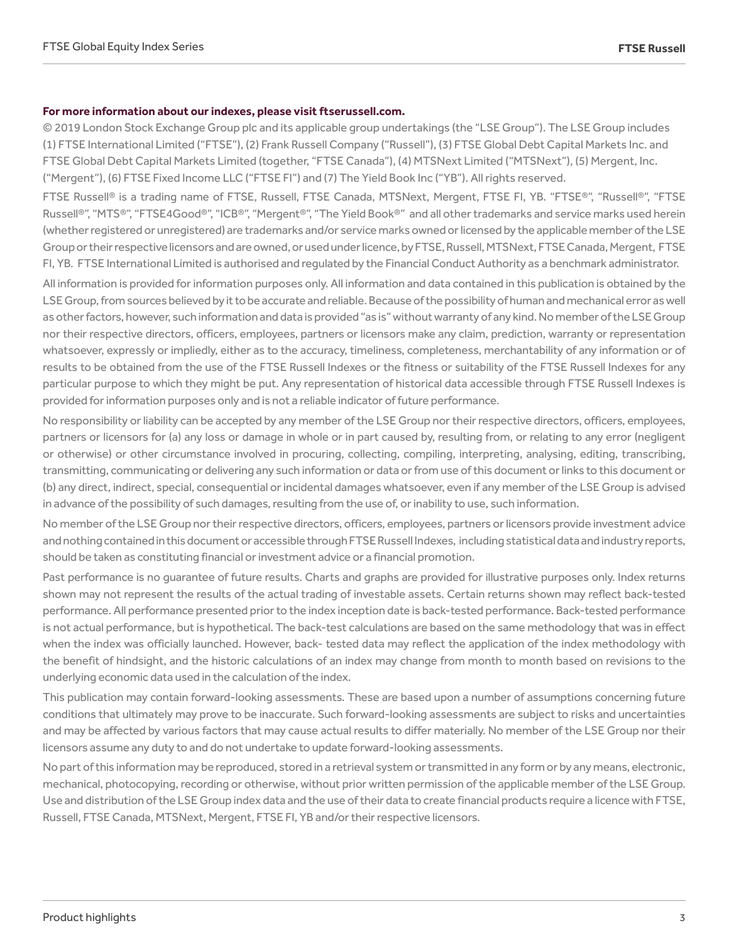#### **For more information about our indexes, please visit ftserussell.com.**

© 2019 London Stock Exchange Group plc and its applicable group undertakings (the "LSE Group"). The LSE Group includes (1) FTSE International Limited ("FTSE"), (2) Frank Russell Company ("Russell"), (3) FTSE Global Debt Capital Markets Inc. and FTSE Global Debt Capital Markets Limited (together, "FTSE Canada"), (4) MTSNext Limited ("MTSNext"), (5) Mergent, Inc. ("Mergent"), (6) FTSE Fixed Income LLC ("FTSE FI") and (7) The Yield Book Inc ("YB"). All rights reserved.

FTSE Russell® is a trading name of FTSE, Russell, FTSE Canada, MTSNext, Mergent, FTSE FI, YB. "FTSE®", "Russell®", "FTSE Russell®", "MTS®", "FTSE4Good®", "ICB®", "Mergent®", "The Yield Book®" and all other trademarks and service marks used herein (whether registered or unregistered) are trademarks and/or service marks owned or licensed by the applicable member of the LSE Group or their respective licensors and are owned, or used under licence, by FTSE, Russell, MTSNext, FTSE Canada, Mergent, FTSE FI, YB. FTSE International Limited is authorised and regulated by the Financial Conduct Authority as a benchmark administrator.

All information is provided for information purposes only. All information and data contained in this publication is obtained by the LSE Group, from sources believed by it to be accurate and reliable. Because of the possibility of human and mechanical error as well as other factors, however, such information and data is provided "as is" without warranty of any kind. No member of the LSE Group nor their respective directors, officers, employees, partners or licensors make any claim, prediction, warranty or representation whatsoever, expressly or impliedly, either as to the accuracy, timeliness, completeness, merchantability of any information or of results to be obtained from the use of the FTSE Russell Indexes or the fitness or suitability of the FTSE Russell Indexes for any particular purpose to which they might be put. Any representation of historical data accessible through FTSE Russell Indexes is provided for information purposes only and is not a reliable indicator of future performance.

No responsibility or liability can be accepted by any member of the LSE Group nor their respective directors, officers, employees, partners or licensors for (a) any loss or damage in whole or in part caused by, resulting from, or relating to any error (negligent or otherwise) or other circumstance involved in procuring, collecting, compiling, interpreting, analysing, editing, transcribing, transmitting, communicating or delivering any such information or data or from use of this document or links to this document or (b) any direct, indirect, special, consequential or incidental damages whatsoever, even if any member of the LSE Group is advised in advance of the possibility of such damages, resulting from the use of, or inability to use, such information.

No member of the LSE Group nor their respective directors, officers, employees, partners or licensors provide investment advice and nothing contained in this document or accessible through FTSE Russell Indexes, including statistical data and industry reports, should be taken as constituting financial or investment advice or a financial promotion.

Past performance is no guarantee of future results. Charts and graphs are provided for illustrative purposes only. Index returns shown may not represent the results of the actual trading of investable assets. Certain returns shown may reflect back-tested performance. All performance presented prior to the index inception date is back-tested performance. Back-tested performance is not actual performance, but is hypothetical. The back-test calculations are based on the same methodology that was in effect when the index was officially launched. However, back- tested data may reflect the application of the index methodology with the benefit of hindsight, and the historic calculations of an index may change from month to month based on revisions to the underlying economic data used in the calculation of the index.

This publication may contain forward-looking assessments. These are based upon a number of assumptions concerning future conditions that ultimately may prove to be inaccurate. Such forward-looking assessments are subject to risks and uncertainties and may be affected by various factors that may cause actual results to differ materially. No member of the LSE Group nor their licensors assume any duty to and do not undertake to update forward-looking assessments.

No part of this information may be reproduced, stored in a retrieval system or transmitted in any form or by any means, electronic, mechanical, photocopying, recording or otherwise, without prior written permission of the applicable member of the LSE Group. Use and distribution of the LSE Group index data and the use of their data to create financial products require a licence with FTSE, Russell, FTSE Canada, MTSNext, Mergent, FTSE FI, YB and/or their respective licensors.